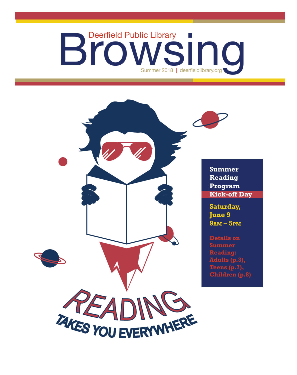# Deerfield Public Library<br>
Summer 2018 | deerfieldlibrary.org



**Kick-off Day**

**9AM – 5PM**

**Details on Adults (p.3), Teens (p.7), Children (p.8)**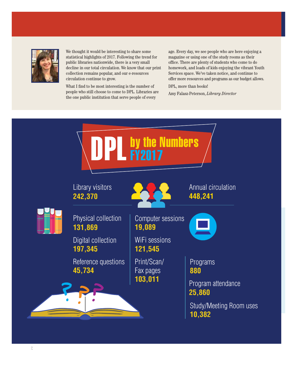

We thought it would be interesting to share some statistical highlights of 2017. Following the trend for public libraries nationwide, there is a very small decline in our total circulation. We know that our print collection remains popular, and our e-resources circulation continue to grow.

What I find to be most interesting is the number of people who still choose to come to DPL. Libraries are the one public institution that serve people of every

age. Every day, we see people who are here enjoying a magazine or using one of the study rooms as their office. There are plenty of students who come to do homework, and loads of kids enjoying the vibrant Youth Services space. We've taken notice, and continue to offer more resources and programs as our budget allows.

#### DPL, more than books!

Amy Falasz-Peterson, *Library Director*

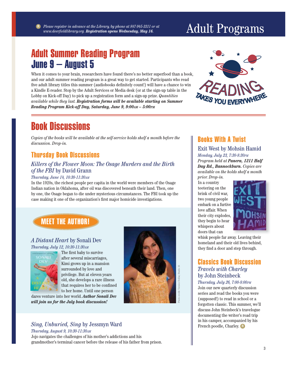*Thursday, August 9, 10:30-11:30AM* Jojo navigates the challenges of his mother's addictions and his grandmother's terminal cancer before the release of his father from prison.

## Adult Summer Reading Program June 9 – August 5

When it comes to your brain, researchers have found there's no better superfood than a book, and our adult summer reading program is a great way to get started. Participants who read five adult library titles this summer (audiobooks definitely count!) will have a chance to win a Kindle E-reader. Stop by the Adult Services or Media desk (or at the sign-up table in the Lobby on Kick-off Day) to pick up a registration form and a sign-up prize. *Quantities available while they last. Registration forms will be available starting on Summer Reading Program Kick-off Day, Saturday, June 9, 9:00AM – 5:00PM* 

## Book Discussions

*Copies of the books will be available at the self-service holds shelf a month before the discussion. Drop-in.*

## Thursday Book Discussions

#### *Killers of the Flower Moon: The Osage Murders and the Birth of the FBI* by David Grann

#### *Thursday, June 14, 10:30-11:30AM*

In the 1920s, the richest people per capita in the world were members of the Osage Indian nation in Oklahoma, after oil was discovered beneath their land. Then, one by one, the Osage began to die under mysterious circumstances. The FBI took up the case making it one of the organization's first major homicide investigations.

## MEET THE AUTHOR!

#### *A Distant Heart* by Sonali Dev *Thursday, July 12, 10:30-11:30AM*



The first baby to survive after several miscarriages, a Kimi grows up in a mansion K surrounded by love and s privilege. But at eleven years p old, she develops a rare illness that requires her to be confined to her home. Until one person

dares venture into her world. Author Sonali Dev *will join us for the July book discussion!* 

*Sing, Unburied, Sing* by Jessmyn Ward

#### *Day Rd., Bannockburn. Copies are available on the holds shelf a month*

Books With A Twist

*Monday, July 23, 7:30-8:30PM*

Exit West by Mohsin Hamid

*Program held at Panera, 1211 Half* 

*prior. Drop-in.* In a country teetering on the brink of civil war, two young people embark on a furtive love affair. When their city explodes, they begin to hear whispers about doors that can



whisk people far away. Leaving their homeland and their old lives behind, they find a door and step through.

#### Classics Book Discussion *Travels with Charley* by John Steinbeck

#### *Thursday, July 26, 7:00-8:00PM*

Photo credit: Vernice Dollar, Studio 16

Join our new quarterly discussion series and read the books you were (supposed!) to read in school or a forgotten classic. This summer, we'll discuss John Steinbeck's travelogue documenting the writer's road trip in his camper, accompanied by his French poodle, Charley. **R**

# Adult Programs *Please register in advance at the Library, by phone at 847-945-3311 or at*

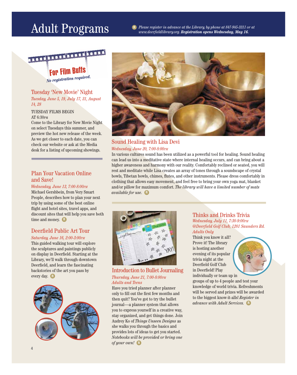

For Film Buffs  *No registration required.*

#### Tuesday 'New Movie' Night *Tuesday, June 5, 19, July 17, 31, August 14, 28*

#### TUESDAY FILMS BEGIN

AT 6:30PM

Come to the Library for New Movie Night on select Tuesdays this summer, and preview the hot new release of the week. As we get closer to each date, you can check our website or ask at the Media desk for a listing of upcoming showings.

#### Plan Your Vacation Online and Save!

#### *Wednesday, June 13, 7:00-8:00PM*

Michael Gershbein, from Very Smart People, describes how to plan your next trip by using some of the best online flight and hotel sites, travel apps, and discount sites that will help you save both time and money. **R**

## Deerfield Public Art Tour

#### *Saturday, June 16, 2:00-3:00PM*

This guided walking tour will explore the sculptures and paintings publicly on display in Deerfield. Starting at the Library, we'll walk through downtown Deerfield, and learn the fascinating backstories of the art you pass by every day. **R**





#### Sound Healing with Lisa Devi *Wednesday, June 20, 7:00-8:00PM*

In various cultures sound has been utilized as a powerful tool for healing. Sound healing can lead us into a meditative state where internal healing occurs, and can bring about a higher awareness and harmony with our reality. Comfortably reclined or seated, you will rest and meditate while Lisa creates an array of tones through a soundscape of crystal bowls, Tibetan bowls, chimes, flutes, and other instruments. Please dress comfortably in clothing that allows easy movement, and feel free to bring your own yoga mat, blanket and/or pillow for maximum comfort. *The library will have a limited number of mats available for use.* **R**



Introduction to Bullet Journaling *Thursday, June 21, 7:00-8:00PM Adults and Teens*

Have you tried planner after planner only to fill out the first few months and then quit? You've got to try the bullet journal—a planner system that allows you to express yourself in a creative way, stay organized, and get things done. Join Audrey Ko of *Things Unseen Designs* as she walks you through the basics and provides lots of ideas to get you started. *Notebooks will be provided or bring one of your own!* **R**

#### Thinks and Drinks Trivia *Wednesday, July 11, 7:30-9:00PM @Deerfi eld Golf Club, 1201 Saunders Rd. Adults Only*

Think you know it all? Prove it! The library is hosting another evening of its popular trivia night at the Deerfield Golf Club in Deerfield! Play individually or team up in



groups of up to 4 people and test your knowledge of world trivia. Refreshments will be served and prizes will be awarded to the biggest know-it-alls! *Register in advance with Adult Services.* **R**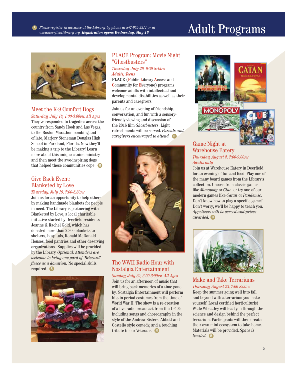

## Meet the K-9 Comfort Dogs

*Saturday, July 14, 1:00-3:00PM, All Ages* They've responded to tragedies across the country from Sandy Hook and Las Vegas, to the Boston Marathon bombing and of late, Marjory Stoneman Douglas High School in Parkland, Florida. Now they'll be making a trip to the Library! Learn more about this unique canine ministry and then meet the awe-inspiring dogs that helped these communities cope. **R**

#### Give Back Event: Blanketed by Love *Thursday, July 19, 7:00-8:30PM*

Join us for an opportunity to help others by making handmade blankets for people in need. The Library is partnering with Blanketed by Love, a local charitable initiative started by Deerfield residents Joanne & Rachel Gold, which has donated more than 2,300 blankets to shelters, hospitals, Ronald McDonald Houses, food pantries and other deserving organizations. Supplies will be provided by the Library. *Optional: Attendees are welcome to bring one yard of 'Blizzard' fleece as a donation.* No special skills required. **R**



#### PLACE Program: Movie Night "Ghostbusters"

*Thursday, July 26, 6:30-8:45PM Adults, Teens*

**PLACE** (**P**ublic **L**ibrary **A**ccess and **C**ommunity for **E**veryone) programs welcome adults with intellectual and developmental disabilities as well as their parents and caregivers.

Join us for an evening of friendship, conversation, and fun with a sensoryfriendly viewing and discussion of the 2016 film *Ghostbusters*. Light refreshments will be served. *Parents and caregivers encouraged to attend.* **R**



#### The WWII Radio Hour with Nostalgia Entertainment *Sunday, July 29, 2:00-3:00PM, All Ages*

Join us for an afternoon of music that will bring back memories of a time gone by. Nostalgia Entertainment will perform hits in period costumes from the time of World War II. The show is a re-creation of a live radio broadcast from the 1940's including songs and choreography in the style of the Andrew Sisters, Abbott and Costello style comedy, and a touching tribute to our Veterans. **R**



#### Game Night at Warehouse Eatery *Thursday, August 2, 7:00-9:00PM Adults only*

Join us at Warehouse Eatery in Deerfield for an evening of fun and food. Play one of the many board games from the Library's collection. Choose from classic games like *Monopoly* or *Clue*, or try one of our modern games like *Catan* or *Pandemic*. Don't know how to play a specific game? Don't worry; we'll be happy to teach you. *Appetizers will be served and prizes awarded.* **R**



#### Make and Take Terrariums *Thursday, August 23, 7:00-8:00PM*

Keep the summer going well into fall and beyond with a terrarium you make yourself. Local certified horticulturist Wade Wheatley will lead you through the science and design behind the perfect terrarium. Participants will then create their own mini ecosystem to take home. Materials will be provided. *Space is limited.* **R**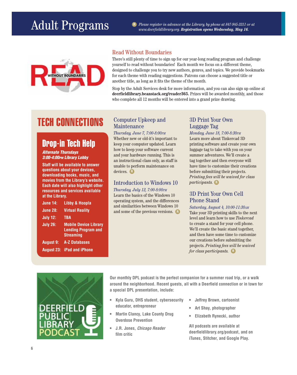

#### Read Without Boundaries

There's still plenty of time to sign up for our year-long reading program and challenge yourself to read without boundaries! Each month we focus on a different theme, designed to challenge you to try new authors, genres, and topics. We provide bookmarks for each theme with reading suggestions. Patrons can choose a suggested title or another title, as long as it fits the theme of the month.

Stop by the Adult Services desk for more information, and you can also sign up online at deerfieldlibrary.beanstack.org/reader365. Prizes will be awarded monthly, and those who complete all 12 months will be entered into a grand prize drawing.

## TECH CONNECTIONS Computer Upkeep and

## Drop-in Tech Help

#### *Alternate Thursdays 3:00-4:00PM Library Lobby*

I

**Staff will be available to answer questions about your devices, downloading books, music, and movies from the Library's website. Each date will also highlight other resources and services available at the Library.**

| <b>June 14:</b>  | Libby & Hoopla                                                                 |
|------------------|--------------------------------------------------------------------------------|
| <b>June 28:</b>  | <b>Virtual Reality</b>                                                         |
| <b>July 12:</b>  | <b>TBA</b>                                                                     |
| <b>July 26:</b>  | <b>Mobile Device Library</b><br><b>Lending Program and</b><br><b>Streaming</b> |
| <b>August 9:</b> | <b>A-Z Databases</b>                                                           |
|                  | <b>August 23: iPad and iPhone</b>                                              |

# Maintenance

*Thursday, June 7, 7:00-8:00PM* Whether new or old-it's important to keep your computer updated. Learn how to keep your software current and your hardware running. This is an instructional class only, as staff is unable to perform maintenance on devices. **R**

#### Introduction to Windows 10

#### *Thursday, July 12, 7:00-8:00PM*

Learn the basics of the Windows 10 operating system, and the differences and similarities between Windows 10 and some of the previous versions. **R**

#### 3D Print Your Own Luggage Tag

*Monday, June 18, 7:00-8:30PM* Learn more about Tinkercad 3D printing software and create your own luggage tag to take with you on your summer adventures. We'll create a tag together and then everyone will have time to customize their creations before submitting their projects. *Printing fees will be waived for class participants.* **R**

#### 3D Print Your Own Cell Phone Stand

*Saturday, August 4, 10:00-11:30AM* Take your 3D printing skills to the next level and learn how to use *Tinkercad*  to create a stand for your cell phone. We'll create the basic stand together, and then have some time to customize our creations before submitting the projects. *Printing fees will be waived for class participants.* **R**



**Our monthly DPL podcast is the perfect companion for a summer road trip, or a walk**  around the neighborhood. Recent quests, all with a Deerfield connection or in town for **a special DPL presentation, include:**

- **Kyla Guru, DHS student, cybersecurity educator, entrepreneur**
- **Martin Clancy, Lake County Drug Overdose Prevention**
- **J.R. Jones,** *Chicago Reader* **fi lm critic**
- **Jeffrey Brown, cartoonist**
- **Art Shay, photographer**
- **Elizabeth Rynecki, author**

**All podcasts are available at deerfi eldlibrary.org/podcast, and on iTunes, Stitcher, and Google Play.**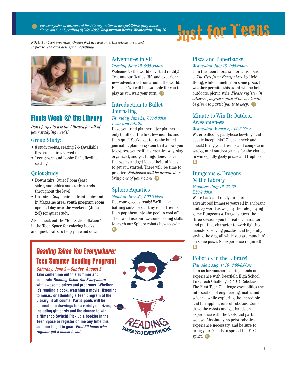*Please register in advance at the Library, online at deerfieldlibrary.org under "Programs", or by calling 847-580-8962. Registration begins Wednesday, May 16.* **R**

*NOTE: For Teen programs, Grades 6-12 are welcome. Exceptions are noted, so please read each description carefully!*





*Don't forget to use the Library for all of your studying needs!*

#### Group Study:

- 8 study rooms, seating 2-6 (Available first-come, first-served)
- Teen Space and Lobby Cafe, flexible seating

#### Quiet Study:

- Downstairs: Quiet Room (east side), and tables and study carrels throughout the level.
- Upstairs: Cozy chairs in front lobby and in Magazine area, **youth program room**  open all day over the weekend (June 2-3) for quiet study.

Also, check out the "Relaxation Station" in the Teen Space for coloring books and quiet crafts to help you wind down.

## Adventures in VR

#### *Tuesday, June 12, 6:30-8:00PM*

Welcome to the world of virtual reality! Test out our Oculus Rift and experience new adventures from around the world. Plus, our Wii will be available for you to play as you wait your turn. **R**

#### Introduction to Bullet Journaling

#### *Thursday, June 21, 7:00-8:00PM Teens and Adults*

Have you tried planner after planner only to fill out the first few months and then quit? You've got to try the bullet journal--a planner system that allows you to express yourself in a creative way, stay organized, and get things done. Learn the basics and get lots of helpful ideas to get you started. There will be time to practice. *Notebooks will be provided or bring one of your own!* **R**

## Sphero Aquatics

#### *Monday, June 25, 2:00-3:00PM*

Get your goggles ready! We'll make bathing suits for our tiny robot friends, then pop them into the pool to cool off. Then we'll use our awesome coding skills to teach our Sphero robots how to swim! **R**



*Saturday, June 9 – Sunday, August 5*  **Take some time out this summer and celebrate** *Reading Takes You Everywhere* **with awesome prizes and programs. Whether it's reading a book, watching a movie, listening to music, or attending a Teen program at the Library, it all counts. Participants will be entered into drawings for a variety of prizes, including gift cards and the chance to win a Nintendo Switch! Pick up a booklet in the Teen Space or register online any time this summer to get in gear.** *First 50 teens who register get a beach towel.*



#### Pizza and Paperbacks

#### *Wednesday, July 18, 1:00-2:00PM*

Join the Teen Librarian for a discussion of *The Girl from Everywhere* by Heidi Heilig, while munchin' on some pizza. If weather permits, this event will be held outdoors, picnic style! *Please register in advance, as free copies of the book will be given to participants to keep.* **R**

#### Minute to Win It: Outdoor Awesomeness

#### *Wednesday, August 8, 2:00-3:00PM*

Water balloons, pantyhose bowling, and cookie faceplants? Check, check and check! Bring your friends and compete in wacky, mini outdoor games for the chance to win equally goofy prizes and trophies! **R**

#### Dungeons & Dragons @ the Library

#### *Mondays, July 16, 23, 30 5:30-7:30PM*

We're back and ready for more adventures! Immerse yourself in a vibrant fantasy world as we play the role-playing game Dungeons & Dragons. Over the three sessions you'll create a character and put that character to work fighting monsters, solving puzzles, and hopefully saving the day, all while you are munchin' on some pizza. No experience required! **R**

#### Robotics in the Library! *Thursday, August 16 , 7:00-8:00PM*

Join us for another exciting hands-on experience with Deerfield High School First Tech Challenge (FTC) Robotics! The First Tech Challenge exemplifies the intersection of engineering, math, and science, while exploring the incredible and fun applications of robotics. Come drive the robots and get hands on experience with the tools and parts we use. Absolutely no prior robotics experience necessary, and be sure to bring your friends to spread the FTC spirit. **R**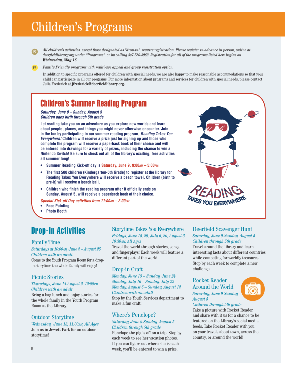## Children's Programs

**R** *All children's activities, except those designated as "drop-in", require registration. Please register in advance in person, online at*  deerfieldlibrary.org under "Programs", or by calling 847-580-8962. Registration for all of the programs listed here begins on *Wednesday, May 16.*

**FF** *Family Friendly programs with multi-age appeal and group registration option.*

In addition to specific programs offered for children with special needs, we are also happy to make reasonable accommodations so that your child can participate in all our programs. For more information about programs and services for children with special needs, please contact Julia Frederick at jfrederick@deerfieldlibrary.org.

## Children's Summer Reading Program

#### *Saturday, June 9 – Sunday, August 5 Children ages birth through 5th grade*

**Let reading take you on an adventure as you explore new worlds and learn about people, places, and things you might never otherwise encounter. Join in the fun by participating in our summer reading program,** *Reading Takes You Everywhere!* **Children will receive a prize just for signing up and those who complete the program will receive a paperback book of their choice and will be entered into drawings for a variety of prizes, including the chance to win a Nintendo Switch! Be sure to check out all of the library's exciting, free activities all summer long!**

- Summer Reading Kick-off day is Saturday, June 9, 9:00<sub>AM</sub> 5:00<sub>PM</sub>
- **The first 500 children (Kindergarten-5th Grade) to register at the library for Reading Takes You Everywhere will receive a beach towel. Children (birth to pre-k) will receive a beach ball.**
- **Children who finish the reading program after it officially ends on Sunday, August 5, will receive a paperback book of their choice.**

*Special Kick-off Day activities from 11:00AM – 2:00PM*

- **Face Painting**
- **Photo Booth**

## Drop-In Activities

#### Family Time

*Saturdays at 10:00AM, June 2 – August 25 Children with an adult*

Come to the Youth Program Room for a dropin storytime the whole family will enjoy!

#### Picnic Stories

#### *Thursdays, June 14-August 2, 12:00PM Children with an adult*

Bring a bag lunch and enjoy stories for the whole family in the Youth Program Room at the Library.

#### Outdoor Storytime

*Wednesday, June 13, 11:00AM, All Ages* Join us in Jewett Park for an outdoor storytime!

#### Storytime Takes You Everywhere *Fridays, June 15, 29, July 6, 20, August 3*

*10:30AM, All Ages*

Travel the world through stories, songs, and fingerplays! Each week will feature a different part of the world.

#### Drop-in Craft

*Monday, June 18 – Sunday, June 24 Monday, July 16 – Sunday, July 22 Monday, August 6 – Sunday, August 12 Children with an adult*

Stop by the Youth Services department to make a fun craft!

#### Where's Penelope? *Saturday, June 9-Sunday, August 5*

## *Children through 5th grade*

Penelope the pig is off on a trip! Stop by each week to see her vacation photos. If you can figure out where she is each week, you'll be entered to win a prize.

#### Deerfield Scavenger Hunt

*Saturday, June 9-Sunday, August 5 Children through 5th grade* Travel around the library and learn interesting facts about different countries while competing for worldly treasures. Stop by each week to complete a new challenge.

Rocket Reader Around the World *Saturday, June 9-Sunday, August 5*



#### *Children through 5th grade*

Take a picture with Rocket Reader and share with it us for a chance to be featured on the Library's social media feeds. Take Rocket Reader with you on your travels about town, across the country, or around the world!

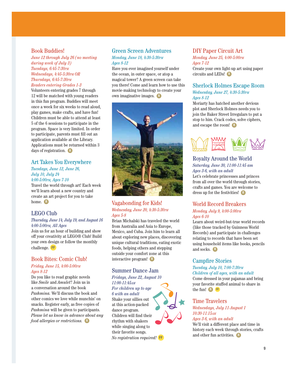#### Book Buddies!

*June 12 through July 26 (no meeting during week of July 3) Tuesdays, 6:45-7:30PM Wednesdays, 4:45-5:30PM OR Thursdays, 6:45-7:30PM Readers entering Grades 1-3* 

Volunteers entering grades 7 through 12 will be matched with young readers in this fun program. Buddies will meet once a week for six weeks to read aloud, play games, make crafts, and have fun! Children must be able to attend at least 5 of the 6 sessions to participate in the program. Space is very limited. In order to participate, parents must fill out an application available at the Library. Applications must be returned within 3 days of registration. **R**

#### Art Takes You Everywhere

*Tuesdays, June 12, June 26, July 10, July 24 4:00-5:00PM, Ages 7-10*

Travel the world through art! Each week we'll learn about a new country and create an art project for you to take home. **R**

#### LEGO Club

#### *Thursday, June 14, July 19, and August 16 4:00-5:00PM, All Ages*

Join us for an hour of building and show off your creativity at LEGO® Club! Build your own design or follow the monthly challenge. **FF**

#### Book Bites: Comic Club!

#### *Friday, June 15, 4:00-5:00PM Ages 8-12*

Do you like to read graphic novels like *Smile* and *Amulet*? Join us in a conversation around the book *Pashmina.* We'll discuss the book and other comics we love while munchin' on snacks. Register early, as free copies of *Pashmina* will be given to participants. *Please let us know in advance about any food allergies or restrictions.* **R**

#### Green Screen Adventures *Monday, June 18, 4:30-5:30PM Ages 8-12*

Have you ever imagined yourself under the ocean, in outer space, or atop a magical tower? A green screen can take you there! Come and learn how to use this movie-making technology to create your own imaginative images. **R**



#### Vagabonding for Kids! *Wednesday, June 20, 4:30-5:30PM Ages 5-8*

Brian Michalski has traveled the world from Australia and Asia to Europe, Mexico, and Cuba. Join him to learn all about exploring new places, discovering unique cultural traditions, eating exotic foods, helping others and stepping outside your comfort zone at this interactive program! **R**

#### Summer Dance Jam

*Fridays, June 22, August 10 11:00-11:45AM For children up to age* 

*6 with an adult* Shake your sillies out at this action-packed dance program. Children will find their rhythm with shakers while singing along to their favorite songs. *No registration required!* **FF**

#### DIY Paper Circuit Art

*Monday, June 25, 4:00-5:00PM Ages 7-12*

Create your own light-up art using paper circuits and LEDs! **R**

#### Sherlock Holmes Escape Room *Wednesday, June 27, 4:30-5:30PM*

#### *Ages 8-12*

Moriarty has hatched another devious plot and Sherlock Holmes needs you to join the Baker Street Irregulars to put a stop to him. Crack codes, solve ciphers, and escape the room! **R**



#### Royalty Around the World

#### *Saturday, June 30, 11:00-11:45 am Ages 3-6, with an adult*

Let's celebrate princesses and princes from all over the world through stories, crafts and games. You are welcome to dress up for the festivities! **R**

#### World Record Breakers *Monday, July 9, 4:00-5:00PM*

*Ages 6-10*

Learn about weird-but-true world records (like those tracked by Guinness World Records) and participate in challenges relating to records that have been set using household items like books, pencils and socks. **R**

#### **Campfire Stories**

#### *Tuesday, July 10, 7:00-7:30PM Children of all ages, with an adult*

Come dressed in your pajamas and bring your favorite stuffed animal to share in the fun! **R FF**

#### Time Travelers

*Wednesdays, July 11-August 1 10:30-11:15AM Ages 3-6, with an adult*

We'll visit a different place and time in history each week through stories, crafts and other fun activities. **R**

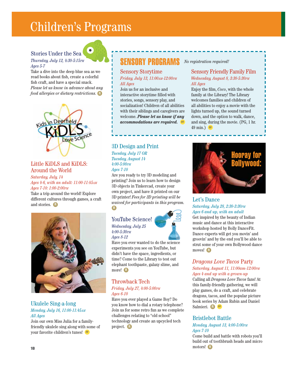# Children's Programs

 $\bullet$ 

#### Stories Under the Sea

#### *Thursday, July 12, 4:30-5:15PM Ages 5-7*

Take a dive into the deep blue sea as we read books about fish, create a colorful fish craft, and have a special snack. *Please let us know in advance about any food allergies or dietary restrictions.* **R**



#### Little KiDLS and KiDLS: Around the World

*Saturday, July, 14 Ages 4-6, with an adult: 11:00-11:45AM Ages 7-10: 1:00-2:00PM*

Take a trip around the world! Explore different cultures through games, a craft and stories. **R**



#### Ukulele Sing-a-long *Monday, July 16, 11:00-11:45AM All Ages*

Join our own Miss Julia for a familyfriendly ukulele sing along with some of your favorite children's tunes! **FF**

## SENSORY PROGRAMS

#### Sensory Storytime *Friday, July 13, 11:00AM-12:00PM All Ages*

Join us for an inclusive and interactive storytime filled with stories, songs, sensory play, and socialization! Children of all abilities with their siblings and caregivers are welcome. *Please let us know if any accommodations are required.* **FF**

#### 3D Design and Print

*Tuesday, July 17 OR Tuesday, August 14 4:00-5:00PM Ages 7-10*

Are you ready to try 3D modeling and printing? Join us to learn how to design 3D objects in Tinkercad, create your own project, and have it printed on our 3D printer! *Fees for 3D printing will be waived for participants in this program.*  **R**

#### YouTube Science! *Wednesday, July 25 4:00-5:30PM*

*Ages 8-12*



Have you ever wanted to do the science experiments you see on YouTube, but didn't have the space, ingredients, or time? Come to the Library to test out elephant toothpaste, galaxy slime, and more! **R**

## Throwback Tech

#### *Friday, July 27, 4:00-5:00PM Ages 6-10*

Have you ever played a Game Boy? Do you know how to dial a rotary telephone? Join us for some retro fun as we complete challenges relating to "old school" technology and create an upcycled tech project. **R**

#### *No registration required!*

#### Sensory Friendly Family Film *Wednesday, August 8, 3:30-5:30PM All Ages*

Enjoy the film, *Coco*, with the whole family at the Library! The Library welcomes families and children of all abilities to enjoy a movie with the lights turned up, the sound turned down, and the option to walk, dance, and sing, during the movie. (PG, 1 hr. 49 min.) **FF**



#### Let's Dance *Saturday, July 28, 2:30-3:30PM Ages 6 and up, with an adult*

Get inspired by the beauty of Indian music and dance at this interactive workshop hosted by Bolly DanceFit. Dance experts will get you movin' and groovin' and by the end you'll be able to strut some of your own Bollywood dance moves! **R**

#### *Dragons Love Tacos* Party *Saturday, August 11, 11:00am-12:00PM Ages 4 and up with a grown-up*

Calling all *Dragons Love Tacos* fans! At this family-friendly gathering, we will play games, do a craft, and celebrate dragons, tacos, and the popular picture book series by Adam Rubin and Daniel Salmieri. **R FF**

### Bristlebot Battle

#### *Monday, August 13, 4:00-5:00PM Ages 7-10*

Come build and battle with robots you'll build out of toothbrush heads and micro motors! **R**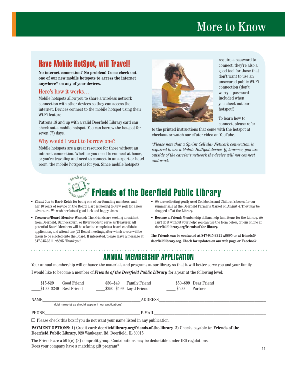# More to Know

## Have Mobile HotSpot, will Travel!

**No internet connection? No problem! Come check out one of our new mobile hotspots to access the internet anywhere\* on any of your devices.**

#### Here's how it works…

Mobile hotspots allow you to share a wireless network connection with other devices so they can access the internet. Devices connect to the mobile hotspot using their Wi-Fi feature.

Patrons 18 and up with a valid Deerfield Library card can check out a mobile hotspot. You can borrow the hotspot for seven (7) days.

#### Why would I want to borrow one?

Mobile hotspots are a great resource for those without an internet connection. Whether you need to connect at home, or you're traveling and need to connect in an airport or hotel room, the mobile hotspot is for you. Since mobile hotspots



require a password to connect, they're also a good tool for those that don't want to use an unsecured public Wi-Fi connection (don't worry – password included when you check out our hotspot!).

To learn how to connect, please refer

to the printed instructions that come with the hotspot at checkout or watch our eTutor video on YouTube.

*\*Please note that a Sprint Cellular Network connection is required to use a Mobile HotSpot device. If, however, you are outside of the carrier's network the device will not connect and work.*



- *Thank You* to **Barb Reich** for being one of our founding members, and her 10 years of service on the Board. Barb is moving to New York for a new adventure. We wish her lots of good luck and happy times.
- **Treasurer/Board Member Wanted:** The Friends are seeking a resident from Deerfield, Bannockburn, or Riverwoods to serve as Treasurer. All potential Board Members will be asked to complete a board candidate application, and attend two (2) Board meetings, after which a vote will be taken to be elected onto the Board. If interested, please leave a message at 847-945-3311, x8895. Thank you!

- We are collecting gently used Cookbooks and Children's books for our summer sale at the Deerfield Farmer's Market on August 4. They may be dropped off at the Library.
- **Become a Friend:** Membership dollars help fund items for the Library. We can't do it without your help! You can use the form below, or join online at **deerfi eldlibrary.org/friends-of-the-library.**

**The Friends can be contacted at 847-945-3311 x8895 or at friends@** deerfieldlibrary.org. Check for updates on our web page or Facebook.

## ANNUAL MEMBERSHIP APPLICATION

Your annual membership will enhance the materials and programs at our library so that it will better serve you and your family.

I would like to become a member of **Friends of the Deerfield Public Library** for a year at the following level:

| $$15 - $29$                                                                                                              | Good Friend<br>$$100 - $249$ Best Friend | $$30 - $49$<br>$$250-\$499$ Loyal Friend | <b>Family Friend</b> | $$500 +$ Partner | \$50–\$99 Dear Friend |  |
|--------------------------------------------------------------------------------------------------------------------------|------------------------------------------|------------------------------------------|----------------------|------------------|-----------------------|--|
| NAME                                                                                                                     |                                          |                                          |                      |                  |                       |  |
| (List name(s) as should appear in our publications)                                                                      |                                          |                                          |                      |                  |                       |  |
| <b>PHONE</b>                                                                                                             |                                          |                                          | E-MAIL               |                  |                       |  |
| $\Box$ Please check this box if you do not want your name listed in any publication.                                     |                                          |                                          |                      |                  |                       |  |
| <b>PAYMENT OPTIONS:</b> 1) Credit card: deerfieldlibrary.org/friends-of-the-library 2) Checks payable to: Friends of the |                                          |                                          |                      |                  |                       |  |
| Deerfield Public Library, 920 Waukegan Rd. Deerfield, IL 60015                                                           |                                          |                                          |                      |                  |                       |  |

The Friends are a 501(c) (3) nonprofit group. Contributions may be deductible under IRS regulations. Does your company have a matching gift program?